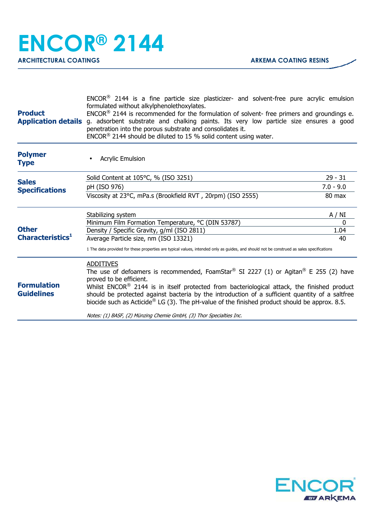| <b>Product</b>                               | $ENCOR(6)$ 2144 is a fine particle size plasticizer- and solvent-free pure acrylic emulsion<br>formulated without alkylphenolethoxylates.<br>$ENCOR®$ 2144 is recommended for the formulation of solvent- free primers and groundings e.<br>Application details g. adsorbent substrate and chalking paints. Its very low particle size ensures a good<br>penetration into the porous substrate and consolidates it.<br>$ENCOR®$ 2144 should be diluted to 15 % solid content using water. |             |
|----------------------------------------------|-------------------------------------------------------------------------------------------------------------------------------------------------------------------------------------------------------------------------------------------------------------------------------------------------------------------------------------------------------------------------------------------------------------------------------------------------------------------------------------------|-------------|
| <b>Polymer</b><br><b>Type</b>                | <b>Acrylic Emulsion</b>                                                                                                                                                                                                                                                                                                                                                                                                                                                                   |             |
| <b>Sales</b><br><b>Specifications</b>        | Solid Content at 105°C, % (ISO 3251)                                                                                                                                                                                                                                                                                                                                                                                                                                                      | $29 - 31$   |
|                                              | pH (ISO 976)                                                                                                                                                                                                                                                                                                                                                                                                                                                                              | $7.0 - 9.0$ |
|                                              | Viscosity at 23°C, mPa.s (Brookfield RVT, 20rpm) (ISO 2555)                                                                                                                                                                                                                                                                                                                                                                                                                               | 80 max      |
| <b>Other</b><br>Characteristics <sup>1</sup> | Stabilizing system                                                                                                                                                                                                                                                                                                                                                                                                                                                                        | A / NI      |
|                                              | Minimum Film Formation Temperature, °C (DIN 53787)                                                                                                                                                                                                                                                                                                                                                                                                                                        | 0           |
|                                              | Density / Specific Gravity, g/ml (ISO 2811)                                                                                                                                                                                                                                                                                                                                                                                                                                               | 1.04        |
|                                              | Average Particle size, nm (ISO 13321)                                                                                                                                                                                                                                                                                                                                                                                                                                                     | 40          |
|                                              | 1 The data provided for these properties are typical values, intended only as guides, and should not be construed as sales specifications                                                                                                                                                                                                                                                                                                                                                 |             |
| <b>Formulation</b><br><b>Guidelines</b>      | <b>ADDITIVES</b><br>The use of defoamers is recommended, FoamStar® SI 2227 (1) or Agitan® E 255 (2) have<br>proved to be efficient.<br>Whilst ENCOR® 2144 is in itself protected from bacteriological attack, the finished product<br>should be protected against bacteria by the introduction of a sufficient quantity of a saltfree<br>biocide such as Acticide <sup>®</sup> LG (3). The pH-value of the finished product should be approx. 8.5.                                        |             |
|                                              | Notes: (1) BASF, (2) Münzing Chemie GmbH, (3) Thor Specialties Inc.                                                                                                                                                                                                                                                                                                                                                                                                                       |             |